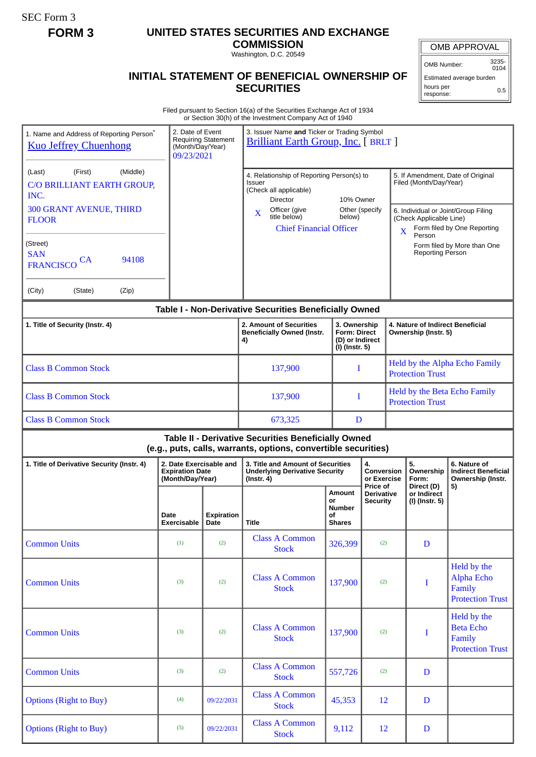SEC Form 3

## **FORM 3 UNITED STATES SECURITIES AND EXCHANGE**

**COMMISSION** Washington, D.C. 20549

## **INITIAL STATEMENT OF BENEFICIAL OWNERSHIP OF SECURITIES**

OMB APPROVAL

OMB Number: 3235- 0104

Estimated average burden hours per response: 0.5

Filed pursuant to Section 16(a) of the Securities Exchange Act of 1934 or Section 30(h) of the Investment Company Act of 1940

| 1. Name and Address of Reporting Person <sup>®</sup><br><b>Kuo Jeffrey Chuenhong</b> | 2. Date of Event<br>(Month/Day/Year)<br>09/23/2021                    | <b>Requiring Statement</b>                                         | 3. Issuer Name and Ticker or Trading Symbol<br><b>Brilliant Earth Group, Inc.</b> [ BRLT ]                            |                                               |                                                          |                                                                                         |                                                                       |
|--------------------------------------------------------------------------------------|-----------------------------------------------------------------------|--------------------------------------------------------------------|-----------------------------------------------------------------------------------------------------------------------|-----------------------------------------------|----------------------------------------------------------|-----------------------------------------------------------------------------------------|-----------------------------------------------------------------------|
| (Middle)<br>(First)<br>(Last)<br>C/O BRILLIANT EARTH GROUP,<br>INC.                  |                                                                       |                                                                    | 4. Relationship of Reporting Person(s) to<br>Issuer<br>(Check all applicable)<br>10% Owner<br>Director                |                                               |                                                          | 5. If Amendment, Date of Original<br>Filed (Month/Day/Year)                             |                                                                       |
| <b>300 GRANT AVENUE, THIRD</b><br><b>FLOOR</b>                                       |                                                                       |                                                                    | Officer (give<br>X<br>title below)<br><b>Chief Financial Officer</b>                                                  | Other (specify<br>below)                      |                                                          | 6. Individual or Joint/Group Filing<br>(Check Applicable Line)<br>$\mathbf X$<br>Person | Form filed by One Reporting                                           |
| (Street)<br><b>SAN</b><br>94108<br><b>CA</b><br><b>FRANCISCO</b>                     |                                                                       |                                                                    |                                                                                                                       |                                               |                                                          | <b>Reporting Person</b>                                                                 | Form filed by More than One                                           |
| (City)<br>(Zip)<br>(State)                                                           |                                                                       |                                                                    |                                                                                                                       |                                               |                                                          |                                                                                         |                                                                       |
|                                                                                      |                                                                       |                                                                    | Table I - Non-Derivative Securities Beneficially Owned                                                                |                                               |                                                          |                                                                                         |                                                                       |
| 1. Title of Security (Instr. 4)                                                      |                                                                       | 2. Amount of Securities<br><b>Beneficially Owned (Instr.</b><br>4) | 3. Ownership<br><b>Form: Direct</b><br>(D) or Indirect<br>(I) (Instr. 5)                                              |                                               | 4. Nature of Indirect Beneficial<br>Ownership (Instr. 5) |                                                                                         |                                                                       |
| <b>Class B Common Stock</b>                                                          |                                                                       | 137,900                                                            | I                                                                                                                     |                                               | Held by the Alpha Echo Family<br><b>Protection Trust</b> |                                                                                         |                                                                       |
| <b>Class B Common Stock</b>                                                          |                                                                       |                                                                    | 137,900                                                                                                               | I                                             | Held by the Beta Echo Family<br><b>Protection Trust</b>  |                                                                                         |                                                                       |
| <b>Class B Common Stock</b>                                                          |                                                                       | 673,325                                                            | D                                                                                                                     |                                               |                                                          |                                                                                         |                                                                       |
|                                                                                      |                                                                       |                                                                    |                                                                                                                       |                                               |                                                          |                                                                                         |                                                                       |
|                                                                                      |                                                                       |                                                                    | Table II - Derivative Securities Beneficially Owned<br>(e.g., puts, calls, warrants, options, convertible securities) |                                               |                                                          |                                                                                         |                                                                       |
| 1. Title of Derivative Security (Instr. 4)                                           | 2. Date Exercisable and<br><b>Expiration Date</b><br>(Month/Day/Year) |                                                                    | 3. Title and Amount of Securities<br><b>Underlying Derivative Security</b><br>$($ lnstr. 4 $)$                        |                                               | 4.<br>Conversion<br>or Exercise                          | 5.<br>Ownership<br>Form:                                                                | 6. Nature of<br><b>Indirect Beneficial</b><br>Ownership (Instr.       |
|                                                                                      | Date<br>Exercisable   Date                                            | Expiration                                                         | Title                                                                                                                 | Amount<br>or<br>Number<br>οf<br><b>Shares</b> | Price of<br>Derivative<br><b>Security</b>                | Direct (D)<br>or Indirect<br>(I) (Instr. 5)                                             | 5)                                                                    |
| <b>Common Units</b>                                                                  | (1)                                                                   | (2)                                                                | <b>Class A Common</b><br><b>Stock</b>                                                                                 | 326,399                                       | (2)                                                      | D                                                                                       |                                                                       |
| <b>Common Units</b>                                                                  | (3)                                                                   | (2)                                                                | <b>Class A Common</b><br><b>Stock</b>                                                                                 | 137,900                                       | (2)                                                      | $\mathbf I$                                                                             | Held by the<br><b>Alpha Echo</b><br>Family<br><b>Protection Trust</b> |
| <b>Common Units</b>                                                                  | (3)                                                                   | (2)                                                                | <b>Class A Common</b><br><b>Stock</b>                                                                                 | 137,900                                       | (2)                                                      | $\bf{I}$                                                                                | Held by the<br><b>Beta Echo</b><br>Family<br><b>Protection Trust</b>  |
| <b>Common Units</b>                                                                  | (3)                                                                   | (2)                                                                | <b>Class A Common</b><br><b>Stock</b>                                                                                 | 557,726                                       | (2)                                                      | D                                                                                       |                                                                       |
| <b>Options (Right to Buy)</b>                                                        | (4)                                                                   | 09/22/2031                                                         | <b>Class A Common</b><br><b>Stock</b>                                                                                 | 45,353                                        | 12                                                       | $\mathbf D$                                                                             |                                                                       |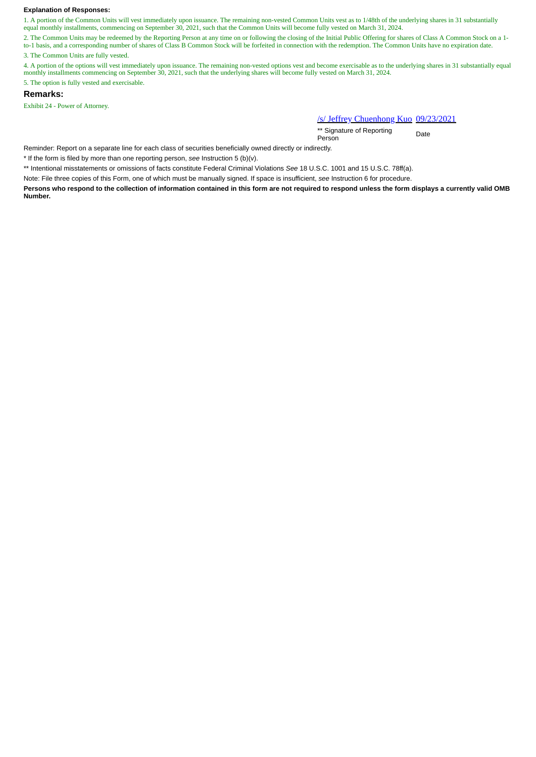## **Explanation of Responses:**

1. A portion of the Common Units will vest immediately upon issuance. The remaining non-vested Common Units vest as to 1/48th of the underlying shares in 31 substantially equal monthly installments, commencing on September 30, 2021, such that the Common Units will become fully vested on March 31, 2024.

2. The Common Units may be redeemed by the Reporting Person at any time on or following the closing of the Initial Public Offering for shares of Class A Common Stock on a 1to-1 basis, and a corresponding number of shares of Class B Common Stock will be forfeited in connection with the redemption. The Common Units have no expiration date.

3. The Common Units are fully vested.

4. A portion of the options will vest immediately upon issuance. The remaining non-vested options vest and become exercisable as to the underlying shares in 31 substantially equal monthly installments commencing on September 30, 2021, such that the underlying shares will become fully vested on March 31, 2024. 5. The option is fully vested and exercisable.

**Remarks:**

Exhibit 24 - Power of Attorney.

/s/ Jeffrey Chuenhong Kuo 09/23/2021

\*\* Signature of Reporting Person Date

Reminder: Report on a separate line for each class of securities beneficially owned directly or indirectly.

\* If the form is filed by more than one reporting person, *see* Instruction 5 (b)(v).

\*\* Intentional misstatements or omissions of facts constitute Federal Criminal Violations *See* 18 U.S.C. 1001 and 15 U.S.C. 78ff(a).

Note: File three copies of this Form, one of which must be manually signed. If space is insufficient, *see* Instruction 6 for procedure.

**Persons who respond to the collection of information contained in this form are not required to respond unless the form displays a currently valid OMB Number.**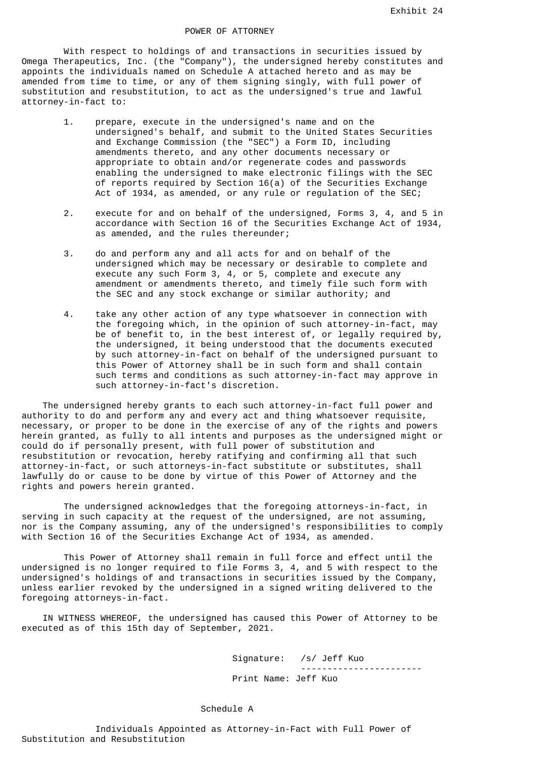With respect to holdings of and transactions in securities issued by Omega Therapeutics, Inc. (the "Company"), the undersigned hereby constitutes and appoints the individuals named on Schedule A attached hereto and as may be amended from time to time, or any of them signing singly, with full power of substitution and resubstitution, to act as the undersigned's true and lawful attorney-in-fact to:

- 1. prepare, execute in the undersigned's name and on the undersigned's behalf, and submit to the United States Securities and Exchange Commission (the "SEC") a Form ID, including amendments thereto, and any other documents necessary or appropriate to obtain and/or regenerate codes and passwords enabling the undersigned to make electronic filings with the SEC of reports required by Section 16(a) of the Securities Exchange Act of 1934, as amended, or any rule or regulation of the SEC;
- 2. execute for and on behalf of the undersigned, Forms 3, 4, and 5 in accordance with Section 16 of the Securities Exchange Act of 1934, as amended, and the rules thereunder;
- 3. do and perform any and all acts for and on behalf of the undersigned which may be necessary or desirable to complete and execute any such Form 3, 4, or 5, complete and execute any amendment or amendments thereto, and timely file such form with the SEC and any stock exchange or similar authority; and
- 4. take any other action of any type whatsoever in connection with the foregoing which, in the opinion of such attorney-in-fact, may be of benefit to, in the best interest of, or legally required by, the undersigned, it being understood that the documents executed by such attorney-in-fact on behalf of the undersigned pursuant to this Power of Attorney shall be in such form and shall contain such terms and conditions as such attorney-in-fact may approve in such attorney-in-fact's discretion.

 The undersigned hereby grants to each such attorney-in-fact full power and authority to do and perform any and every act and thing whatsoever requisite, necessary, or proper to be done in the exercise of any of the rights and powers herein granted, as fully to all intents and purposes as the undersigned might or could do if personally present, with full power of substitution and resubstitution or revocation, hereby ratifying and confirming all that such attorney-in-fact, or such attorneys-in-fact substitute or substitutes, shall lawfully do or cause to be done by virtue of this Power of Attorney and the rights and powers herein granted.

 The undersigned acknowledges that the foregoing attorneys-in-fact, in serving in such capacity at the request of the undersigned, are not assuming, nor is the Company assuming, any of the undersigned's responsibilities to comply with Section 16 of the Securities Exchange Act of 1934, as amended.

 This Power of Attorney shall remain in full force and effect until the undersigned is no longer required to file Forms 3, 4, and 5 with respect to the undersigned's holdings of and transactions in securities issued by the Company, unless earlier revoked by the undersigned in a signed writing delivered to the foregoing attorneys-in-fact.

 IN WITNESS WHEREOF, the undersigned has caused this Power of Attorney to be executed as of this 15th day of September, 2021.

> Signature: /s/ Jeff Kuo ----------------------- Print Name: Jeff Kuo

## Schedule A